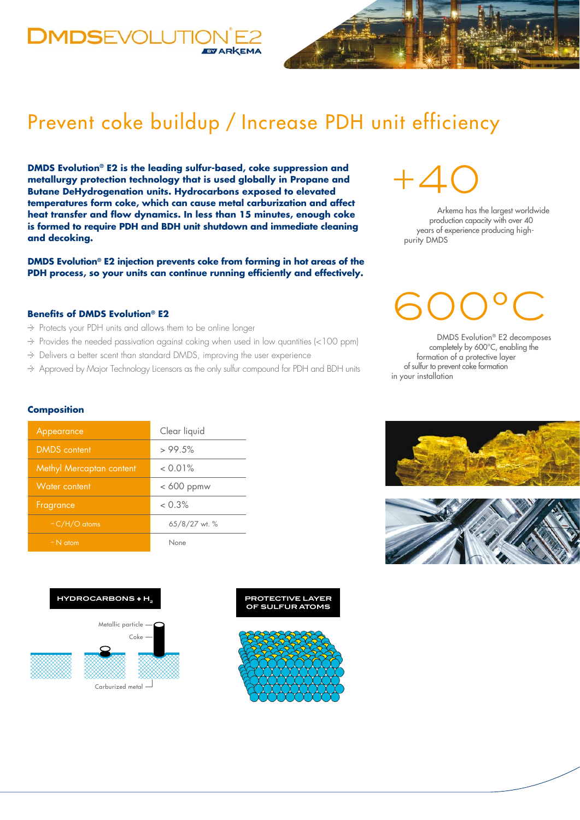### **DMDSEVOLUTIO EVARKEMA**

## Prevent coke buildup / Increase PDH unit efficiency

**DMDS Evolution® E2 is the leading sulfur-based, coke suppression and metallurgy protection technology that is used globally in Propane and Butane DeHydrogenation units. Hydrocarbons exposed to elevated temperatures form coke, which can cause metal carburization and affect heat transfer and flow dynamics. In less than 15 minutes, enough coke is formed to require PDH and BDH unit shutdown and immediate cleaning and decoking.** 

**DMDS Evolution® E2 injection prevents coke from forming in hot areas of the PDH process, so your units can continue running efficiently and effectively.**

#### **Benefits of DMDS Evolution® E2**

- Protects your PDH units and allows them to be online longer
- Provides the needed passivation against coking when used in low quantities (<100 ppm)
- Delivers a better scent than standard DMDS, improving the user experience

Approved by Major Technology Licensors as the only sulfur compound for PDH and BDH units

# +40

Arkema has the largest worldwide production capacity with over 40 years of experience producing highpurity DMDS

# 600°C

DMDS Evolution® E2 decomposes completely by 600°C, enabling the formation of a protective layer of sulfur to prevent coke formation in your installation

### **Composition**

| Appearance               | Clear liquid  |
|--------------------------|---------------|
| <b>DMDS</b> content      | >99.5%        |
| Methyl Mercaptan content | $< 0.01\%$    |
| Water content            | $< 600$ ppmw  |
| Fragrance                | $< 0.3\%$     |
| $-C/H/O$ atoms           | 65/8/27 wt. % |
| $- N$ atom               | None          |

#### **HYDROCARBONS + H2**